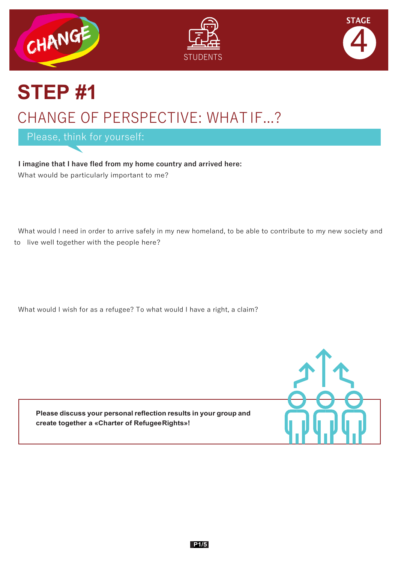





## **STEP #1** CHANGE OF PERSPECTIVE: WHAT IF...?

Please, think for yourself:

**I imagine that I have fled from my home country and arrived here:** What would be particularly important to me?

 What would I need in order to arrive safely in my new homeland, to be able to contribute to my new society and to live well together with the people here?

What would I wish for as a refugee? To what would I have a right, a claim?

**Please discuss your personal reflection results in your group and create together a «Charter of RefugeeRights»!**

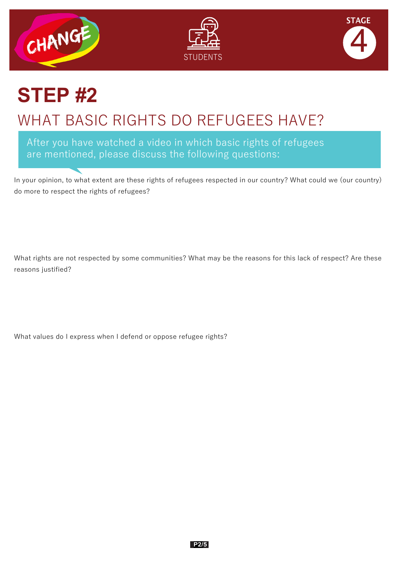





### **STEP #2** WHAT BASIC RIGHTS DO REFUGEES HAVE?

After you have watched a video in which basic rights of refugees are mentioned, please discuss the following questions:

In your opinion, to what extent are these rights of refugees respected in our country? What could we (our country) do more to respect the rights of refugees?

What rights are not respected by some communities? What may be the reasons for this lack of respect? Are these reasons justified?

What values do I express when I defend or oppose refugee rights?

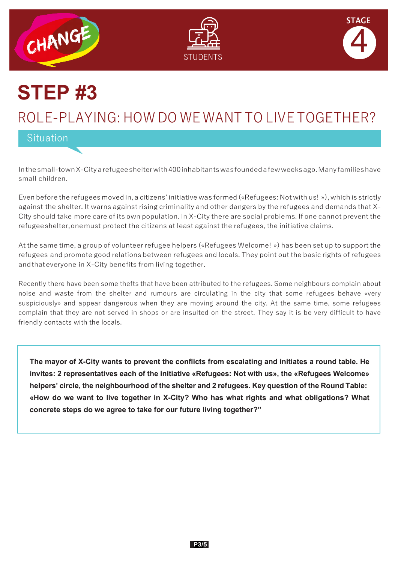





# **STEP #3**

### ROLE-PLAYING: HOW DO WE WANT TO LIVE TOGETHER?

Situation

Inthesmall-townX-Cityarefugeeshelterwith400inhabitantswasfoundedafewweeksago.Manyfamilieshave small children.

Even before the refugees moved in, a citizens' initiative was formed («Refugees: Not with us! »), which is strictly against the shelter. It warns against rising criminality and other dangers by the refugees and demands that X-City should take more care of its own population. In X-City there are social problems. If one cannot prevent the refugeeshelter,onemust protect the citizens at least against the refugees, the initiative claims.

At the same time, a group of volunteer refugee helpers («Refugees Welcome! ») has been set up to support the refugees and promote good relations between refugees and locals. They point out the basic rights of refugees andthateveryone in X-City benefits from living together.

Recently there have been some thefts that have been attributed to the refugees. Some neighbours complain about noise and waste from the shelter and rumours are circulating in the city that some refugees behave «very suspiciously» and appear dangerous when they are moving around the city. At the same time, some refugees complain that they are not served in shops or are insulted on the street. They say it is be very difficult to have friendly contacts with the locals.

**The mayor of X-City wants to prevent the conflicts from escalating and initiates a round table. He invites: 2 representatives each of the initiative «Refugees: Not with us», the «Refugees Welcome» helpers' circle, the neighbourhood of the shelter and 2 refugees. Key question of the Round Table: «How do we want to live together in X-City? Who has what rights and what obligations? What concrete steps do we agree to take for our future living together?"**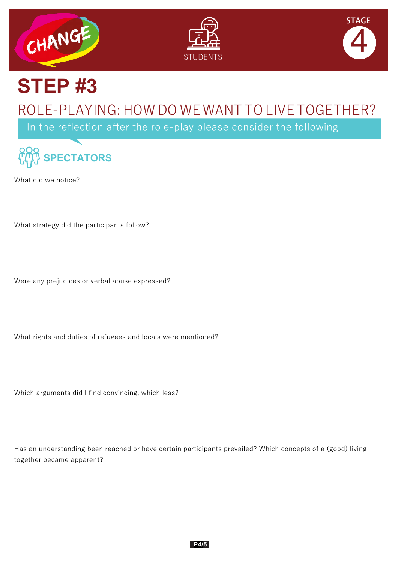





# **STEP #3**

### ROLE-PLAYING: HOW DO WE WANT TO LIVE TOGETHER?

In the reflection after the role-play please consider the following



What did we notice?

What strategy did the participants follow?

Were any prejudices or verbal abuse expressed?

What rights and duties of refugees and locals were mentioned?

Which arguments did I find convincing, which less?

Has an understanding been reached or have certain participants prevailed? Which concepts of a (good) living together became apparent?